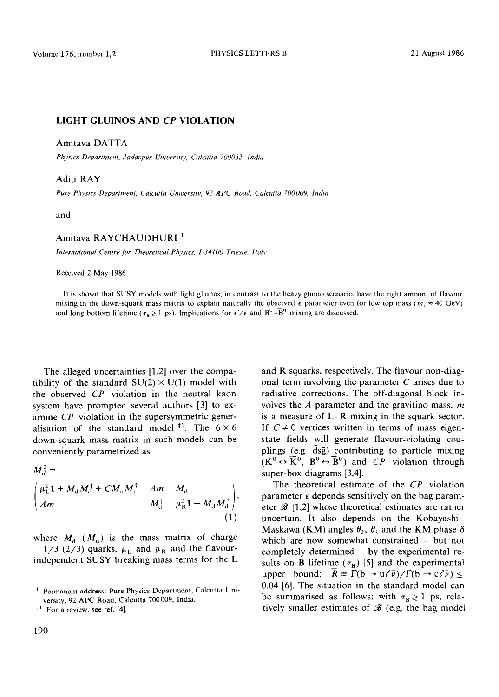## LIGHT GLUINOS AND *CP* VIOLATION

Amitava DATTA

*Physics Department, Jadavpur University, Calcutta 700032, India* 

## Aditi RAY

*Pure Physics Department, Calcutta University, 92 APC Road, Calcutta 700009, India* 

and

## Amitava RAYCHAUDHURI

*International Centre for Theoretical Physics, 1-34100 Trieste, Italy* 

Received 2 May 1986

It is shown that SUSY models with light gluinos, in contrast to the heavy glumo scenario, have the right amount of flavour mixing in the down-squark mass matrix to explain naturally the observed  $\epsilon$  parameter even for low top mass ( $m_1 \approx 40$  GeV) and long bottom lifetime ( $\tau_B \ge 1$  ps). Implications for  $\epsilon'/\epsilon$  and  $B^0 - \overline{B}^0$  mixing are discussed.

The alleged uncertainties [1,2] over the compatibility of the standard  $SU(2) \times U(1)$  model with the observed *CP* violation in the neutral kaon system have prompted several authors [3] to examine *CP* violation in the supersymmetric generalisation of the standard model  $*1$ . The  $6 \times 6$ down-squark mass matrix in such models can be conveniently parametrized as

$$
M_{d}^{\dagger} = \begin{pmatrix} \mu_{L}^{2} 1 + M_{d} M_{d}^{\dagger} + C M_{u} M_{u}^{\dagger} & Am & M_{d} \\ Am & M_{d}^{\dagger} & \mu_{R}^{2} 1 + M_{d} M_{d}^{\dagger} \end{pmatrix},
$$
\n(1)

where  $M_d$  ( $M_u$ ) is the mass matrix of charge -  $1/3$  (2/3) quarks.  $\mu_L$  and  $\mu_R$  and the flavourindependent SUSY breaking mass terms for the L and R squarks, respectively. The flavour non-diagonal term involving the parameter C arises due to radiative corrections. The off-diagonal block involves the  $A$  parameter and the gravitino mass.  $m$ is a measure of L-R mixing in the squark sector. If  $C \neq 0$  vertices written in terms of mass eigenstate fields will generate flavour-violating couplings (e.g.  $\overline{d}\overline{s}\overline{g}$ ) contributing to particle mixing  $(K^0 \leftrightarrow \overline{K}^0$ ,  $B^0 \leftrightarrow \overline{B}^0$ ) and *CP* violation through super-box diagrams [3,4].

The theoretical estimate of the *CP* violation parameter  $\epsilon$  depends sensitively on the bag parameter  $\mathscr{B}$  [1,2] whose theoretical estimates are rather uncertain. It also depends on the Kobayashi-Maskawa (KM) angles  $\theta_2$ ,  $\theta_3$  and the KM phase  $\delta$ which are now somewhat constrained  $-$  but not completely determined - by the experimental results on B lifetime ( $\tau_B$ ) [5] and the experimental upper bound:  $\overline{R} = \Gamma(b \to u \ell \bar{\nu}) / \Gamma(b \to c \ell \bar{\nu}) \le$ 0.04 [6]. The situation in the standard model can be summarised as follows: with  $\tau_B \geq 1$  ps, relatively smaller estimates of  $\mathcal{B}$  (e.g. the bag model

Permanent address: Pure Physics Department. Calcutta University, 92 APC Road, Calcutta 700009, India.

 $*$ <sup>1</sup> For a review, see ref. [4].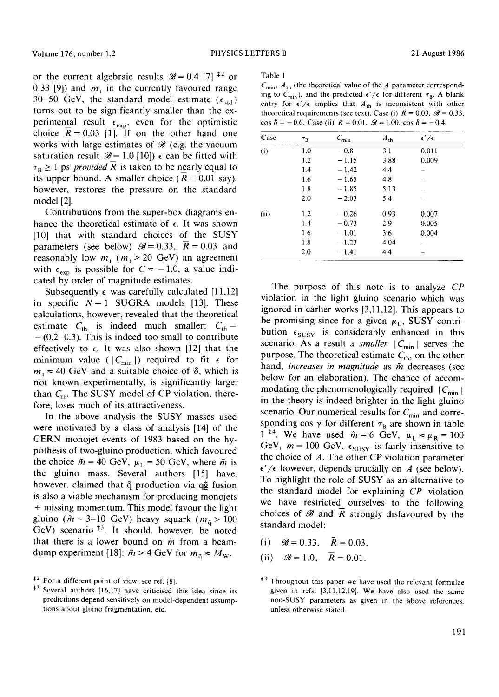or the current algebraic results  $\mathcal{B} = 0.4$  [7]  $^{12}$  or 0.33 [9]) and  $m<sub>i</sub>$  in the currently favoured range 30-50 GeV, the standard model estimate ( $\epsilon_{std}$ ) turns out to be significantly smaller than the experimental result  $\epsilon_{\text{exp}}$ , even for the optimistic choice  $R = 0.03$  [1]. If on the other hand one works with large estimates of  $\mathscr B$  (e.g. the vacuum saturation result  $\mathscr{B} = 1.0$  [10])  $\epsilon$  can be fitted with  $\tau_B \geq 1$  ps *provided R* is taken to be nearly equal to its upper bound. A smaller choice ( $R = 0.01$  say), however, restores the pressure on the standard model [2].

Contributions from the super-box diagrams enhance the theoretical estimate of  $\epsilon$ . It was shown [10] that with standard choices of the SUSY parameters (see below)  $\mathcal{B} = 0.33$ ,  $\overline{R} = 0.03$  and reasonably low  $m_1$  ( $m_1 > 20$  GeV) an agreement with  $\epsilon_{exp}$  is possible for  $C \approx -1.0$ , a value indicated by order of magnitude estimates.

Subsequently  $\epsilon$  was carefully calculated [11,12] in specific  $N = 1$  SUGRA models [13]. These calculations, however, revealed that the theoretical estimate  $C_{\text{th}}$  is indeed much smaller:  $C_{\text{th}} =$  $-(0.2-0.3)$ . This is indeed too small to contribute effectively to  $\epsilon$ . It was also shown [12] that the minimum value ( $|C_{\text{min}}|$ ) required to fit  $\epsilon$  for  $m_1 \approx 40$  GeV and a suitable choice of  $\delta$ , which is not known experimentally, is significantly larger than  $C_{\text{th}}$ . The SUSY model of CP violation, therefore, loses much of its attractiveness.

In the above analysis the SUSY masses used were motivated by a class of analysis [14] of the CERN monojet events of 1983 based on the hypothesis of two-gluino production, which favoured the choice  $\tilde{m} = 40$  GeV,  $\mu_L = 50$  GeV, where  $\tilde{m}$  is the gluino mass. Several authors [15] have, however, claimed that  $\tilde{q}$  production via  $q\tilde{q}$  fusion is also a viable mechanism for producing monojets + missing momentum. This model favour the light gluino ( $\tilde{m} \sim 3{\text -}10$  GeV) heavy squark ( $m_{\tilde{q}} > 100$  $GeV$ ) scenario  $*$ <sup>3</sup>. It should, however, be noted that there is a lower bound on  $\tilde{m}$  from a beamdump experiment [18]:  $\tilde{m} > 4$  GeV for  $m_{\tilde{q}} \approx M_{\rm w}$ .

Table 1

 $C_{\text{min}}$ ,  $A_{\text{th}}$  (the theoretical value of the A parameter corresponding to  $C_{\text{min}}$ ), and the predicted  $\epsilon'/\epsilon$  for different  $\tau_{\text{B}}$ . A blank entry for  $\epsilon'/\epsilon$  implies that  $A_{\text{th}}$  is inconsistent with other theoretical requirements (see text). Case (i)  $\overline{R} = 0.03$ ,  $\mathcal{B} = 0.33$ , cos  $\delta = -0.6$ . Case (ii)  $\bar{R} = 0.01$ ,  $\mathcal{B} = 1.00$ , cos  $\delta = -0.4$ .

| Case | $\tau_B$ | $C_{\min}$ | $A_{th}$ | $\epsilon'/\epsilon$ |
|------|----------|------------|----------|----------------------|
| (i)  | 1.0      | $-0.8$     | 3.1      | 0.011                |
|      | 1.2      | $-1.15$    | 3.88     | 0.009                |
|      | 1.4      | $-1.42$    | 4.4      |                      |
|      | 1.6      | $-1.65$    | 4.8      |                      |
|      | 1.8      | $-1.85$    | 5.13     |                      |
|      | 2.0      | $-2.03$    | 5.4      |                      |
| (ii) | 1.2      | $-0.26$    | 0.93     | 0.007                |
|      | 1.4      | $-0.73$    | 2.9      | 0.005                |
|      | 1.6      | $-1.01$    | 3.6      | 0.004                |
|      | 1.8      | $-1.23$    | 4.04     |                      |
|      | 2.0      | $-1.41$    | 4.4      |                      |

The purpose of this note is to analyze *CP*  violation in the light gluino scenario which was ignored in earlier works [3,11,12]. This appears to be promising since for a given  $\mu_L$ , SUSY contribution  $\epsilon_{SUSY}$  is considerably enhanced in this scenario. As a result a *smaller*  $|C_{\text{min}}|$  serves the purpose. The theoretical estimate  $C_{th}$ , on the other hand, *increases in magnitude* as  $\tilde{m}$  decreases (see below for an elaboration). The chance of accommodating the phenomenologically required  $|C_{\text{min}}|$ . in the theory is indeed brighter in the light gluino scenario. Our numerical results for  $C_{\text{min}}$  and corresponding cos  $\gamma$  for different  $\tau_B$  are shown in table 1<sup>#4</sup>. We have used  $\tilde{m} = 6$  GeV,  $\mu_L \approx \mu_R = 100$ GeV,  $m = 100$  GeV.  $\epsilon_{SUSY}$  is fairly insensitive to the choice of  $A$ . The other CP violation parameter  $\epsilon'/\epsilon$  however, depends crucially on A (see below). To highlight the role of SUSY as an alternative to the standard model for explaining *CP* violation we have restricted ourselves to the following choices of  $\mathscr B$  and R strongly disfavoured by the standard model:

- (i)  $\Re = 0.33$ ,  $\tilde{R} = 0.03$ .
- (ii)  $\mathscr{B} = 1.0, \quad \overline{R} = 0.01.$

 $*$ <sup>2</sup> For a different point of view, see ref. [8].

 $*$ <sup>3</sup> Several authors [16,17] have criticised this idea since its predictions depend sensitively on model-dependent assumptions about gluino fragmentation, etc.

<sup>&</sup>lt;sup>#4</sup> Throughout this paper we have used the relevant formulae given in refs. [3,11,12,19]. We have also used the same non-SUSY parameters as given in the above references, unless otherwise stated.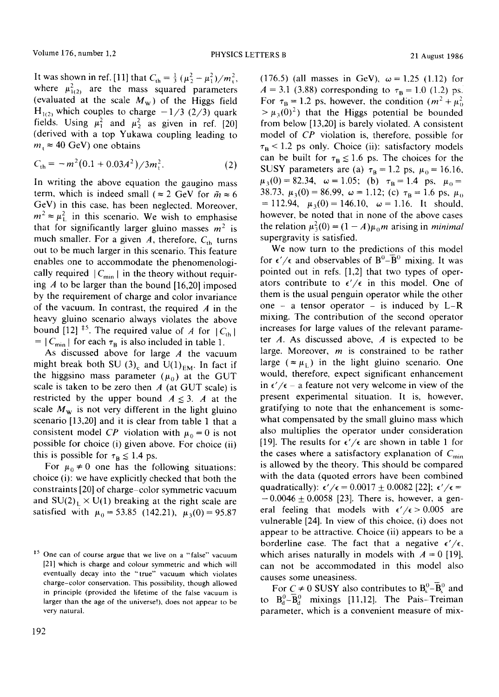It was shown in ref. [11] that  $C_{\text{th}} = \frac{1}{3} (\mu_2^2 - \mu_1^2)/m_t^2$ , where  $\mu_{1(2)}^2$  are the mass squared parameters (evaluated at the scale  $M_w$ ) of the Higgs field  $H_{1(2)}$  which couples to charge  $-1/3$  (2/3) quark fields. Using  $\mu_1^2$  and  $\mu_2^2$  as given in ref. [20] (derived with a top Yukawa coupling leading to  $m_1 \approx 40$  GeV) one obtains

$$
C_{\text{th}} = -m^2 (0.1 + 0.03A^2) / 3m_t^2. \tag{2}
$$

In writing the above equation the gaugino mass term, which is indeed small ( $\approx 2$  GeV for  $\tilde{m} \approx 6$ GeV) in this case, has been neglected. Moreover,  $m^2 \approx \mu_L^2$  in this scenario. We wish to emphasise that for significantly larger gluino masses  $m^2$  is much smaller. For a given A, therefore,  $C_{th}$  turns out to be much larger in this scenario. This feature enables one to accommodate the phenomenologically required  $|C_{\text{min}}|$  in the theory without requiring  $A$  to be larger than the bound [16,20] imposed by the requirement of charge and color invariance of the vacuum. In contrast, the required  $A$  in the heavy gluino scenario always violates the above bound [12] <sup>‡5</sup>. The required value of A for  $|C_{th}|$  $= |C_{\min}|$  for each  $\tau_B$  is also included in table 1.

As discussed above for large  $A$  the vacuum might break both SU  $(3)_{c}$  and U(1)<sub>EM</sub>. In fact if the higgsino mass parameter  $(\mu_0)$  at the GUT scale is taken to be zero then  $A$  (at GUT scale) is restricted by the upper bound  $A \leq 3$ . A at the scale  $M_w$  is not very different in the light gluino scenario [13,20] and it is clear from table 1 that a consistent model *CP* violation with  $\mu_0 = 0$  is not possible for choice (i) given above. For choice (ii) this is possible for  $\tau_B \leq 1.4$  ps.

For  $\mu_0 \neq 0$  one has the following situations: choice (i): we have explicitly checked that both the constraints [20] of charge-color symmetric vacuum and  $SU(2)_L \times U(1)$  breaking at the right scale are satisfied with  $\mu_0 = 53.85$  (142.21),  $\mu_3(0) = 95.87$ 

(176.5) (all masses in GeV),  $\omega = 1.25$  (1.12) for  $A = 3.1$  (3.88) corresponding to  $\tau_B = 1.0$  (1.2) ps. For  $\tau_B = 1.2$  ps, however, the condition  $(m^2 + \mu_0^2)$  $> \mu_3(0)^2$ ) that the Higgs potential be bounded from below [13,20] is barely violated. A consistent model of *CP* violation is, therefore, possible for  $\tau_{\rm B}$  < 1.2 ps only. Choice (ii): satisfactory models can be built for  $\tau_B \le 1.6$  ps. The choices for the SUSY parameters are (a)  $\tau_B = 1.2$  ps,  $\mu_0 = 16.16$ .  $\mu_3(0)=82.34, \quad \omega=1.05; \quad (b) \quad \tau_B=1.4 \quad \text{ps}, \quad \mu_0=$ 38.73,  $\mu_3(0) = 86.99$ ,  $\omega = 1.12$ ; (c)  $\tau_B = 1.6$  ps,  $\mu_0$  $= 112.94, \mu_3(0) = 146.10, \omega = 1.16.$  It should, however, be noted that in none of the above cases the relation  $\mu_3^2(0) = (1 - A)\mu_0 m$  arising in *minimal* supergravity is satisfied.

We now turn to the predictions of this model for  $\epsilon'/\epsilon$  and observables of  $B^0-\overline{B}{}^0$  mixing. It was pointed out in refs. [1,2] that two types of operators contribute to  $\epsilon'/\epsilon$  in this model. One of them is the usual penguin operator while the other one - a tensor operator - is induced by  $L-R$ mixing. The contribution of the second operator increases for large values of the relevant parameter  $A$ . As discussed above,  $A$  is expected to be large. Moreover,  $m$  is constrained to be rather large ( $\approx \mu_L$ ) in the light gluino scenario. One would, therefore, expect significant enhancement in  $\epsilon'/\epsilon$  – a feature not very welcome in view of the present experimental situation. It is, however, gratifying to note that the enhancement is somewhat compensated by the small gluino mass which also multiplies the operator under consideration [19]. The results for  $\epsilon'/\epsilon$  are shown in table 1 for the cases where a satisfactory explanation of  $C_{\text{min}}$ is allowed by the theory. This should be compared with the data (quoted errors have been combined quadratically):  $\epsilon'/\epsilon = 0.0017 \pm 0.0082$  [22];  $\epsilon'/\epsilon =$  $-0.0046 \pm 0.0058$  [23]. There is, however, a general feeling that models with  $\epsilon'/\epsilon > 0.005$  are vulnerable [24]. In view of this choice, (i) does not appear to be attractive. Choice (ii) appears to be a borderline case. The fact that a negative  $\epsilon'/\epsilon$ , which arises naturally in models with  $A = 0$  [19], can not be accommodated in this model also causes some uneasiness.

For  $C \neq 0$  SUSY also contributes to  $B_s^0$ - $\overline{B}_s^0$  and to  $B_d^0$ - $\overline{B}_d^0$  mixings [11,12]. The Pais-Treiman parameter, which is a convenient measure of mix-

<sup>&</sup>lt;sup>#5</sup> One can of course argue that we live on a "false" vacuum [21] which is charge and colour symmetric and which will eventually decay into the "true" vacuum which violates charge-color conservation. This possibility, though allowed in principle (provided the lifetime of the false vacuum is larger than the age of the universe!), does not appear to be very natural.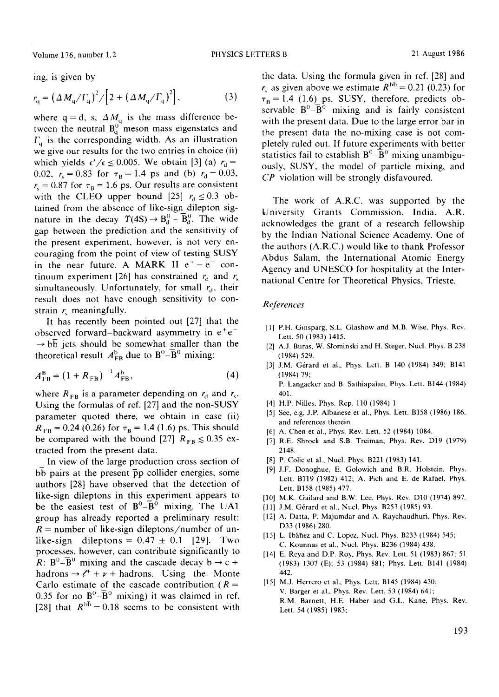Volume 176, number 1,2 **PHYSICS LETTERS B** 21 August 1986

ing, is given by

$$
r_{\rm q} = \left(\Delta M_{\rm q}/\Gamma_{\rm q}\right)^2 / \left[2 + \left(\Delta M_{\rm q}/\Gamma_{\rm q}\right)^2\right],\tag{3}
$$

where  $q = d$ , s,  $\Delta M_q$  is the mass difference between the neutral  $B_0^0$  meson mass eigenstates and  $\Gamma_{q}$  is the corresponding width. As an illustration we give our results for the two entries in choice (ii) which yields  $\epsilon'/\epsilon \le 0.005$ . We obtain [3] (a)  $r_d =$ 0.02,  $r_s = 0.83$  for  $\tau_B = 1.4$  ps and (b)  $r_d = 0.03$ ,  $r<sub>s</sub> = 0.87$  for  $\tau<sub>B</sub> = 1.6$  ps. Our results are consistent with the CLEO upper bound [25]  $r_d \le 0.3$  obtained from the absence of like-sign dilepton signature in the decay  $\Upsilon(4S) \rightarrow B_d^0 - \overline{B}_d^0$ . The wide gap between the prediction and the sensitivity of the present experiment, however, is not very encouraging from the point of view of testing SUSY in the near future. A MARK II  $e^+ - e^-$  continuum experiment [26] has constrained  $r_d$  and  $r_s$ simultaneously. Unfortunately, for small  $r_d$ , their result does not have enough sensitivity to constrain  $r_{\rm}$  meaningfully.

It has recently been pointed out [27] that the observed forward-backward asymmetry in  $e^+e^ \rightarrow b\overline{b}$  jets should be somewhat smaller than the theoretical result  $A_{FB}^{b}$  due to  $B^{0} - \overline{B}^{0}$  mixing:

$$
A_{FB}^{B} = (1 + R_{FB})^{-1} A_{FB}^{b}, \qquad (4)
$$

where  $R_{FB}$  is a parameter depending on  $r_d$  and  $r_s$ . Using the formulas of ref. [27] and the non-SUSY parameter quoted there, we obtain in case (ii)  $R_{FB} = 0.24$  (0.26) for  $\tau_B = 1.4$  (1.6) ps. This should be compared with the bound [27]  $R_{FB} \leq 0.35$  extracted from the present data.

In view of the large production cross section of bb pairs at the present  $\bar{p}p$  collider energies, some authors [28] have observed that the detection of like-sign dileptons in this experiment appears to be the easiest test of  $B^0$ - $\overline{B}^0$  mixing. The UA1 group has already reported a preliminary result:  $R =$  number of like-sign dileptons/number of unlike-sign dileptons =  $0.47 \pm 0.1$  [29]. Two processes, however, can contribute significantly to R:  $B^0$ - $\overline{B}^0$  mixing and the cascade decay b  $\rightarrow$  c + hadrons  $\rightarrow e^+ + \nu +$  hadrons. Using the Monte Carlo estimate of the cascade contribution ( $R =$ 0.35 for no  $B^0$ - $\overline{B}^0$  mixing) it was claimed in ref. [28] that  $R^{b\bar{b}}=0.18$  seems to be consistent with

the data. Using the formula given in ref. [28] and r, as given above we estimate  $R^{b\bar{b}} = 0.21$  (0.23) for  $\tau_B = 1.4$  (1.6) ps. SUSY, therefore, predicts observable  $B^0$ - $\overline{B}^0$  mixing and is fairly consistent with the present data. Due to the large error bar in the present data the no-mixing case is not completely ruled out. If future experiments with better statistics fail to establish  $B^0 - \overline{B}{}^0$  mixing unambiguously, SUSY, the model of particle mixing, and *CP* violation will be strongly disfavoured.

The work of A.R.C. was supported by the University Grants Commission, India. A.R. acknowledges the grant of a research fellowship by the Indian National Science Academy. One of the authors (A.R.C.) would like to thank Professor Abdus Salam, the International Atomic Energy Agency and UNESCO for hospitality at the International Centre for Theoretical Physics, Trieste.

## *References*

401.

- [1] P.H. Ginsparg, S.L. Glashow and M.B. Wise, Phys. Rev. Lett. 50 (1983) 1415.
- I2] A.J. Buras, W. Slominski and H. Steger, Nucl. Phys. B 238 (1984) 529.
- [3] J.M. Gérard et al., Phys. Lett. B 140 (1984) 349; B141 (1984) 79; P. Langacker and B. Sathiapalan, Phys. Lett. B144 (1984)
- [4] H.P. Nilles, Phys. Rep. 110 (1984) 1.
- [5] See, e.g.J.P. Albanese et al., Phys. Lett. B158 (1986) 186, and references therein.
- [6] A. Chen et al., Phys. Rev. Lett. 52 (1984) 1084.
- [7] R.E. Shrock and S.B. Treiman, Phys. Rev. D19 (1979) 2148.
- [8] P. Colic et al., Nucl. Phys. B221 (1983) 141.
- [9] J.F. Donoghue, E. Golowich and B.R. Holstein, Phys. Lett. B119 (1982) 412; A. Pich and E. de Rafael, Phys. Lett. B158 (1985) 477.
- [10] M.K. Gailard and B.W. Lee, Phys. Rev. D10 (1974) 897.
- [11] J.M. Gérard et al., Nucl. Phys. B253 (1985) 93.
- [12] A. Datta, P. Majumdar and A. Raychaudhuri, Phys. Rev. D33 (1986) 280.
- [13] L. Ibáñez and C. Lopez, Nucl. Phys. B233 (1984) 545; C. Kounnas et al., Nucl. Phys. B236 (1984) 438.
- [14] E. Reya and D.P. Roy, Phys. Rev. Lett. 51 (1983) 867; 51 (1983) 1307 (E); 53 (1984) 881; Phys. Lett. B141 (1984) 442.
- [15] M.J. Herrero et al., Phys. Lett. B145 (1984) 430; V. Barger et al., Phys. Rev. Lett. 53 (1984) 641; R.M. Barnett, H.E. Haber and G.L. Kane, Phys. Rev. Lett. 54 (1985) 1983;